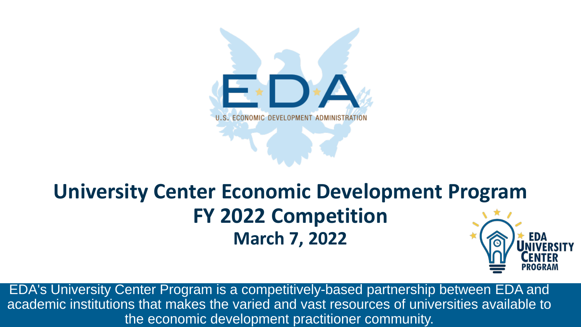

## **University Center Economic Development Program FY 2022 Competition March 7, 2022**

EDA's University Center Program is a competitively-based partnership between EDA and academic institutions that makes the varied and vast resources of universities available to the economic development practitioner community.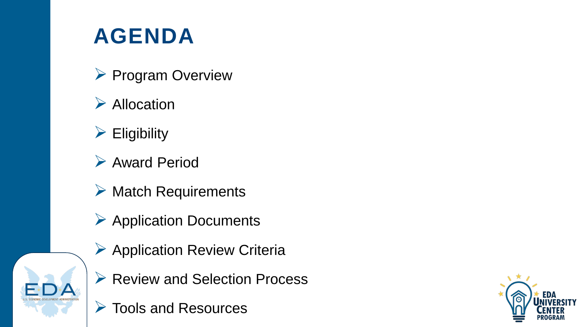# **AGENDA**

- $\triangleright$  Program Overview
- $\triangleright$  Allocation
- $\triangleright$  Eligibility
- Award Period
- $\triangleright$  Match Requirements
- $\triangleright$  Application Documents
- $\triangleright$  Application Review Criteria
- ▶ Review and Selection Process
- Tools and Resources

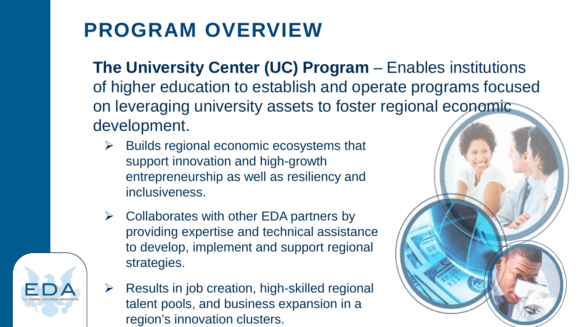# **PROGRAM OVERVIEW**

**The University Center (UC) Program** – Enables institutions of higher education to establish and operate programs focused on leveraging university assets to foster regional economic development.

- $\triangleright$  Builds regional economic ecosystems that support innovation and high-growth entrepreneurship as well as resiliency and inclusiveness.
- $\triangleright$  Collaborates with other EDA partners by providing expertise and technical assistance to develop, implement and support regional strategies.
- $\triangleright$  Results in job creation, high-skilled regional talent pools, and business expansion in a region's innovation clusters.



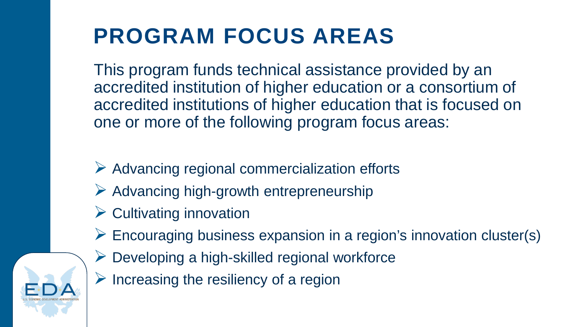# **PROGRAM FOCUS AREAS**

This program funds technical assistance provided by an accredited institution of higher education or a consortium of accredited institutions of higher education that is focused on one or more of the following program focus areas:

- $\triangleright$  Advancing regional commercialization efforts
- $\triangleright$  Advancing high-growth entrepreneurship
- $\triangleright$  Cultivating innovation
- $\triangleright$  Encouraging business expansion in a region's innovation cluster(s)
- $\triangleright$  Developing a high-skilled regional workforce
- $\triangleright$  Increasing the resiliency of a region

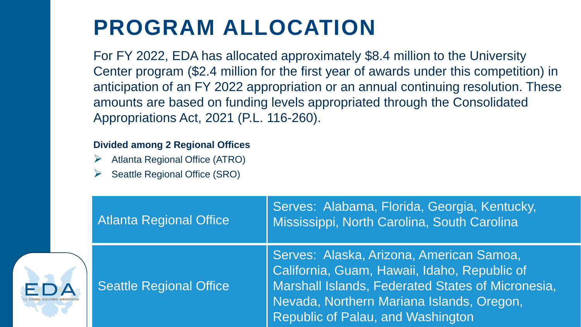# **PROGRAM ALLOCATION**

For FY 2022, EDA has allocated approximately \$8.4 million to the University Center program (\$2.4 million for the first year of awards under this competition) in anticipation of an FY 2022 appropriation or an annual continuing resolution. These amounts are based on funding levels appropriated through the Consolidated Appropriations Act, 2021 (P.L. 116-260).

#### **Divided among 2 Regional Offices**

- Atlanta Regional Office (ATRO)
- Seattle Regional Office (SRO)

|   | <b>Atlanta Regional Office</b> | Serves: Alabama, Florida, Georgia, Kentucky,<br>Mississippi, North Carolina, South Carolina,                                                                                                                                    |
|---|--------------------------------|---------------------------------------------------------------------------------------------------------------------------------------------------------------------------------------------------------------------------------|
| Д | Seattle Regional Office        | Serves: Alaska, Arizona, American Samoa,<br>California, Guam, Hawaii, Idaho, Republic of<br>Marshall Islands, Federated States of Micronesia,<br>Nevada, Northern Mariana Islands, Oregon,<br>Republic of Palau, and Washington |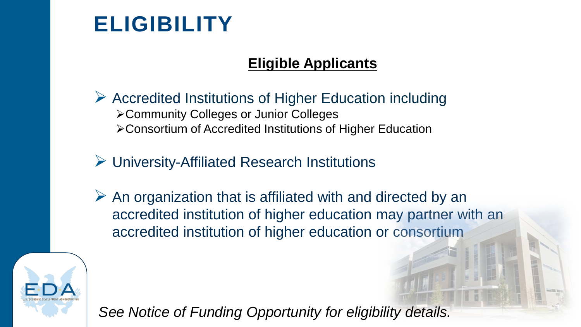# **ELIGIBILITY**

### **Eligible Applicants**

- $\triangleright$  Accredited Institutions of Higher Education including Community Colleges or Junior Colleges Consortium of Accredited Institutions of Higher Education
- University-Affiliated Research Institutions
- $\triangleright$  An organization that is affiliated with and directed by an accredited institution of higher education may partner with an accredited institution of higher education or consortium



*See Notice of Funding Opportunity for eligibility details.*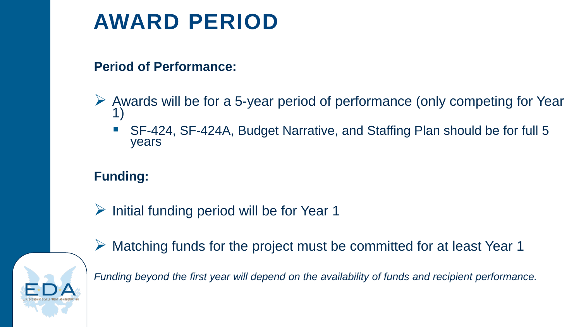# **AWARD PERIOD**

#### **Period of Performance:**

- Awards will be for a 5-year period of performance (only competing for Year 1)
	- SF-424, SF-424A, Budget Narrative, and Staffing Plan should be for full 5 years

### **Funding:**

 $\triangleright$  Initial funding period will be for Year 1



 $\triangleright$  Matching funds for the project must be committed for at least Year 1

*Funding beyond the first year will depend on the availability of funds and recipient performance.*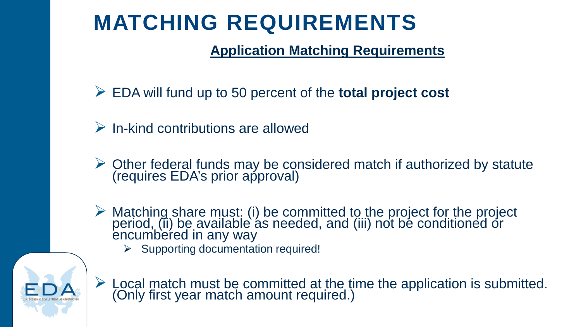# **MATCHING REQUIREMENTS**

### **Application Matching Requirements**

- EDA will fund up to 50 percent of the **total project cost**
- $\triangleright$  In-kind contributions are allowed
- $\triangleright$  Other federal funds may be considered match if authorized by statute (requires EDA's prior approval)
- $\triangleright$  Matching share must: (i) be committed to the project for the project period, (ii) be available as needed, and (iii) not be conditioned or encumbered in any way
	- $\triangleright$  Supporting documentation required!



 $\triangleright$  Local match must be committed at the time the application is submitted. (Only first year match amount required.)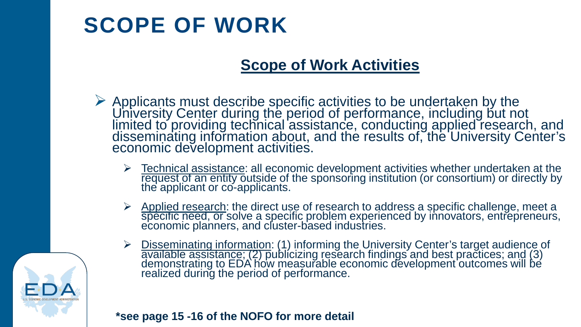# **SCOPE OF WORK**

### **Scope of Work Activities**

- $\triangleright$  Applicants must describe specific activities to be undertaken by the University Center during the period of performance, including but not limited to providing technical assistance, conducting applied research, and disseminating information about, and the results of, the University Center's economic development activities.
	- $\geq$  Technical assistance: all economic development activities whether undertaken at the request of an entity outside of the sponsoring institution (or consortium) or directly by the applicant or co-applicants.
	- Applied research: the direct use of research to address a specific challenge, meet a specific need, or solve a specific problem experienced by innovators, entrepreneurs, economic planners, and cluster-based industries.
	- Disseminating information: (1) informing the University Center's target audience of available assistance; (2) publicizing research findings and best practices; and (3) demonstrating to EDA how measurable economic development outcomes will be realized during the period of performance.



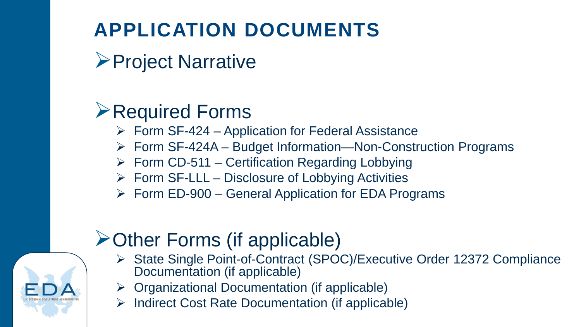## **APPLICATION DOCUMENTS**

**≻Project Narrative** 

## **Example Profference Profession Profession Profession Profession**

- $\triangleright$  Form SF-424 Application for Federal Assistance
- Form SF-424A Budget Information—Non-Construction Programs
- $\triangleright$  Form CD-511 Certification Regarding Lobbying
- $\triangleright$  Form SF-LLL Disclosure of Lobbying Activities
- $\triangleright$  Form ED-900 General Application for EDA Programs

## **≻Other Forms (if applicable)**

- ▶ State Single Point-of-Contract (SPOC)/Executive Order 12372 Compliance Documentation (if applicable)
- $\triangleright$  Organizational Documentation (if applicable)
- $\triangleright$  Indirect Cost Rate Documentation (if applicable)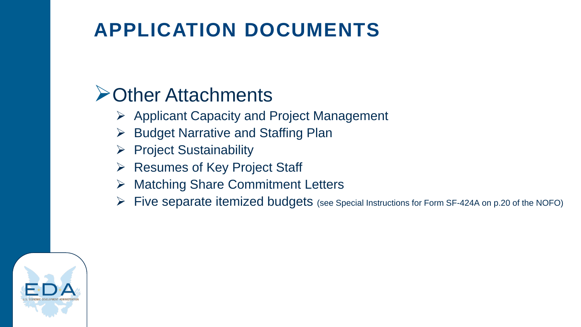## **APPLICATION DOCUMENTS**

### **≻Other Attachments**

- $\triangleright$  Applicant Capacity and Project Management
- $\triangleright$  Budget Narrative and Staffing Plan
- $\triangleright$  Project Sustainability
- $\triangleright$  Resumes of Key Project Staff
- **▶ Matching Share Commitment Letters**
- $\triangleright$  Five separate itemized budgets (see Special Instructions for Form SF-424A on p.20 of the NOFO)

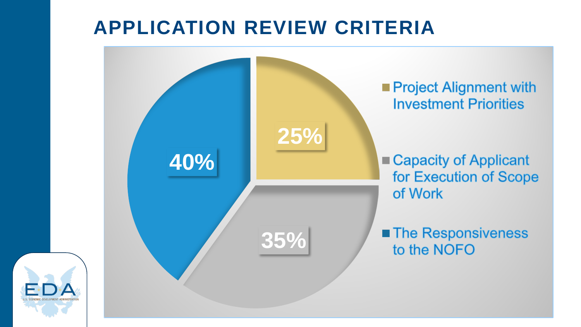## **APPLICATION REVIEW CRITERIA**

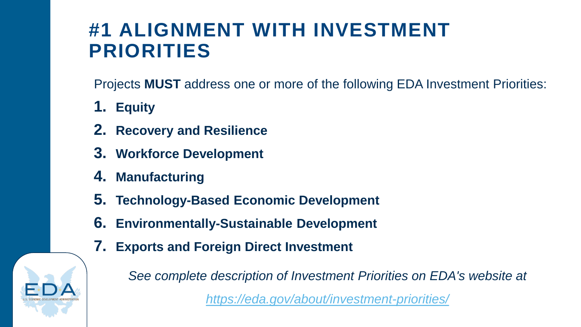## **#1 ALIGNMENT WITH INVESTMENT PRIORITIES**

Projects **MUST** address one or more of the following EDA Investment Priorities:

- **1. Equity**
- **2. Recovery and Resilience**
- **3. Workforce Development**
- **4. Manufacturing**
- **5. Technology-Based Economic Development**
- **6. Environmentally-Sustainable Development**
- **7. Exports and Foreign Direct Investment**

*See complete description of Investment Priorities on EDA's website at* 

*<https://eda.gov/about/investment-priorities/>*

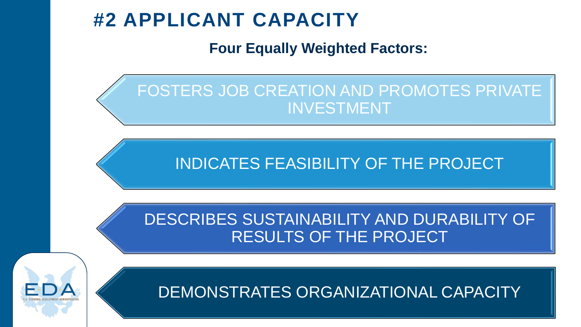### **#2 APPLICANT CAPACITY**

**Four Equally Weighted Factors:**



INDICATES FEASIBILITY OF THE PROJECT

DESCRIBES SUSTAINABILITY AND DURABILITY OF RESULTS OF THE PROJECT



DEMONSTRATES ORGANIZATIONAL CAPACITY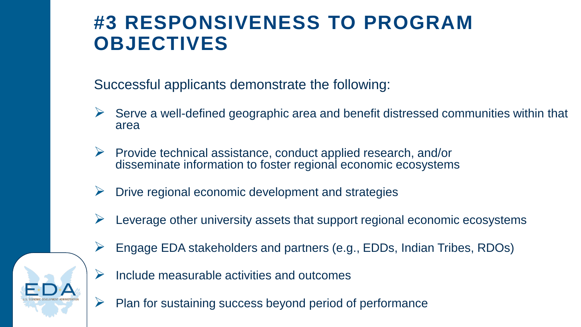### **#3 RESPONSIVENESS TO PROGRAM OBJECTIVES**

Successful applicants demonstrate the following:

- $\triangleright$  Serve a well-defined geographic area and benefit distressed communities within that area
- $\triangleright$  Provide technical assistance, conduct applied research, and/or disseminate information to foster regional economic ecosystems
- $\triangleright$  Drive regional economic development and strategies
- $\triangleright$  Leverage other university assets that support regional economic ecosystems
- $\triangleright$  Engage EDA stakeholders and partners (e.g., EDDs, Indian Tribes, RDOs)
- $\triangleright$  Include measurable activities and outcomes
- $\triangleright$  Plan for sustaining success beyond period of performance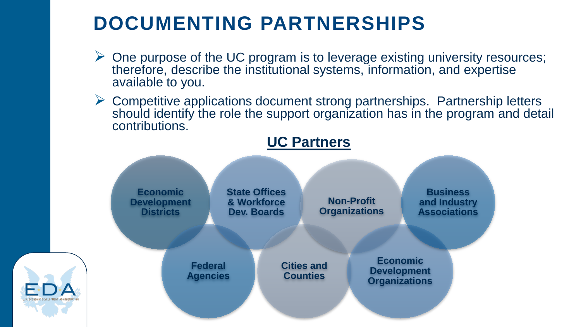## **DOCUMENTING PARTNERSHIPS**

- $\triangleright$  One purpose of the UC program is to leverage existing university resources; therefore, describe the institutional systems, information, and expertise available to you.
- $\triangleright$  Competitive applications document strong partnerships. Partnership letters should identify the role the support organization has in the program and detail contributions.



### **UC Partners**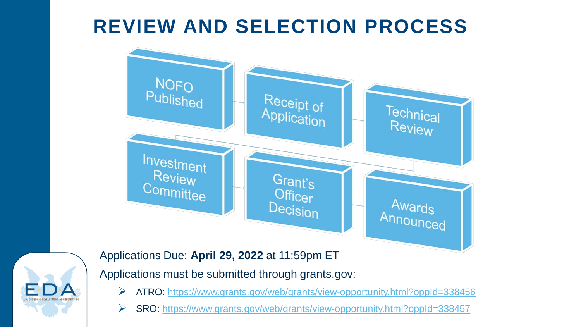## **REVIEW AND SELECTION PROCESS**





Applications Due: **April 29, 2022** at 11:59pm ET

Applications must be submitted through grants.gov:

- ATRO: <https://www.grants.gov/web/grants/view-opportunity.html?oppId=338456>
- SRO:<https://www.grants.gov/web/grants/view-opportunity.html?oppId=338457>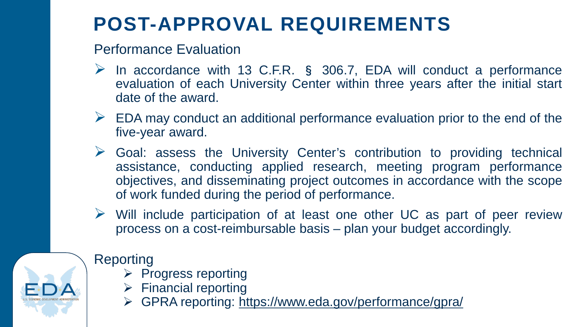# **POST-APPROVAL REQUIREMENTS**

#### Performance Evaluation

- $\triangleright$  In accordance with 13 C.F.R. § 306.7, EDA will conduct a performance evaluation of each University Center within three years after the initial start date of the award.
- $\triangleright$  EDA may conduct an additional performance evaluation prior to the end of the five-year award.
- $\triangleright$  Goal: assess the University Center's contribution to providing technical assistance, conducting applied research, meeting program performance objectives, and disseminating project outcomes in accordance with the scope of work funded during the period of performance.
- $\triangleright$  Will include participation of at least one other UC as part of peer review process on a cost-reimbursable basis – plan your budget accordingly.

### Reporting

- $\triangleright$  Progress reporting
- $\triangleright$  Financial reporting
- GPRA reporting: <https://www.eda.gov/performance/gpra/>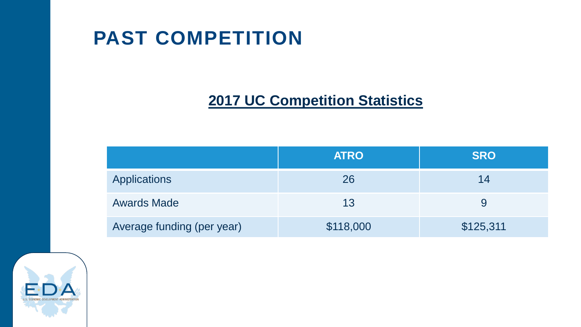## **PAST COMPETITION**

### **2017 UC Competition Statistics**

|                            | <b>ATRO</b> | <b>SRO</b> |
|----------------------------|-------------|------------|
| Applications               | 26          | 14         |
| <b>Awards Made</b>         | 13          | 9          |
| Average funding (per year) | \$118,000   | \$125,311  |

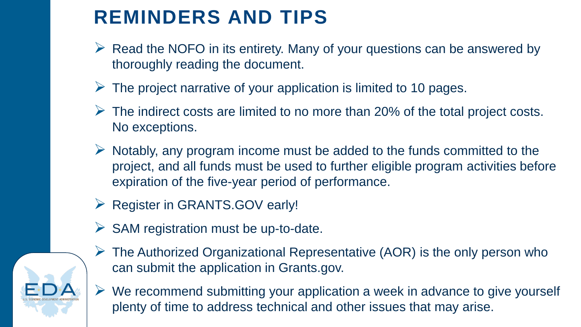## **REMINDERS AND TIPS**

- $\triangleright$  Read the NOFO in its entirety. Many of your questions can be answered by thoroughly reading the document.
- $\triangleright$  The project narrative of your application is limited to 10 pages.
- $\triangleright$  The indirect costs are limited to no more than 20% of the total project costs. No exceptions.
- $\triangleright$  Notably, any program income must be added to the funds committed to the project, and all funds must be used to further eligible program activities before expiration of the five-year period of performance.
- ▶ Register in GRANTS.GOV early!
- $\triangleright$  SAM registration must be up-to-date.



- $\triangleright$  The Authorized Organizational Representative (AOR) is the only person who can submit the application in Grants.gov.
- $\triangleright$  We recommend submitting your application a week in advance to give yourself plenty of time to address technical and other issues that may arise.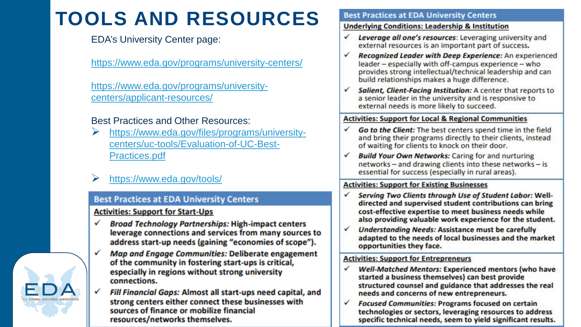# **TOOLS AND RESOURCES**

#### EDA's University Center page:

<https://www.eda.gov/programs/university-centers/>

[https://www.eda.gov/programs/university](https://www.eda.gov/programs/university-centers/applicant-resources/)centers/applicant-resources/

#### Best Practices and Other Resources:

- [https://www.eda.gov/files/programs/university](https://www.eda.gov/files/programs/university-centers/uc-tools/Evaluation-of-UC-Best-Practices.pdf)centers/uc-tools/Evaluation-of-UC-Best-Practices.pdf
- <https://www.eda.gov/tools/>

#### **Best Practices at EDA University Centers**

#### **Activities: Support for Start-Ups**

- ✓ **Broad Technology Partnerships: High-impact centers** leverage connections and services from many sources to address start-up needs (gaining "economies of scope").
- ✓ Map and Engage Communities: Deliberate engagement of the community in fostering start-ups is critical, especially in regions without strong university connections.
	- Fill Financial Gaps: Almost all start-ups need capital, and strong centers either connect these businesses with sources of finance or mobilize financial resources/networks themselves.

#### **Best Practices at EDA University Centers**

#### **Underlying Conditions: Leadership & Institution**

- Leverage all one's resources: Leveraging university and ✓ external resources is an important part of success.
- Recognized Leader with Deep Experience: An experienced ✓ leader - especially with off-campus experience - who provides strong intellectual/technical leadership and can build relationships makes a huge difference.
- Salient, Client-Facing Institution: A center that reports to  $\checkmark$ a senior leader in the university and is responsive to external needs is more likely to succeed.

#### **Activities: Support for Local & Regional Communities**

- Go to the Client: The best centers spend time in the field ✓ and bring their programs directly to their clients, instead of waiting for clients to knock on their door.
- **Build Your Own Networks: Caring for and nurturing** √ networks - and drawing clients into these networks - is essential for success (especially in rural areas).

#### **Activities: Support for Existing Businesses**

- Serving Two Clients through Use of Student Labor: Well-✓ directed and supervised student contributions can bring cost-effective expertise to meet business needs while also providing valuable work experience for the student.
- $\checkmark$ **Understanding Needs: Assistance must be carefully** adapted to the needs of local businesses and the market opportunities they face.

#### **Activities: Support for Entrepreneurs**

- Well-Matched Mentors: Experienced mentors (who have ✓ started a business themselves) can best provide structured counsel and guidance that addresses the real needs and concerns of new entrepreneurs.
- **Focused Communities: Programs focused on certain**  $\checkmark$ technologies or sectors, leveraging resources to address specific technical needs, seem to yield significant results.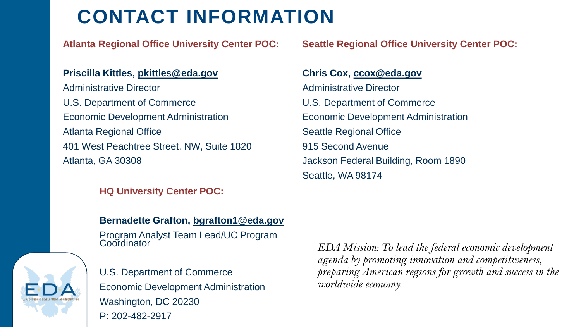## **CONTACT INFORMATION**

**Atlanta Regional Office University Center POC:**

#### **Priscilla Kittles, [pkittles@eda.gov](mailto:pkittles@eda.gov)** Administrative Director U.S. Department of Commerce Economic Development Administration Atlanta Regional Office 401 West Peachtree Street, NW, Suite 1820 Atlanta, GA 30308

#### **HQ University Center POC:**

#### **Bernadette Grafton, [bgrafton1@eda.gov](mailto:bgrafton1@eda.gov)**

Program Analyst Team Lead/UC Program **Coordinator** 



U.S. Department of Commerce Economic Development Administration Washington, DC 20230 P: 202-482-2917

**Seattle Regional Office University Center POC:**

#### **Chris Cox, [ccox@eda.gov](mailto:ccox@eda.gov)** Administrative Director U.S. Department of Commerce Economic Development Administration Seattle Regional Office 915 Second Avenue Jackson Federal Building, Room 1890 Seattle, WA 98174

*EDA Mission: To lead the federal economic development agenda by promoting innovation and competitiveness, preparing American regions for growth and success in the worldwide economy.*